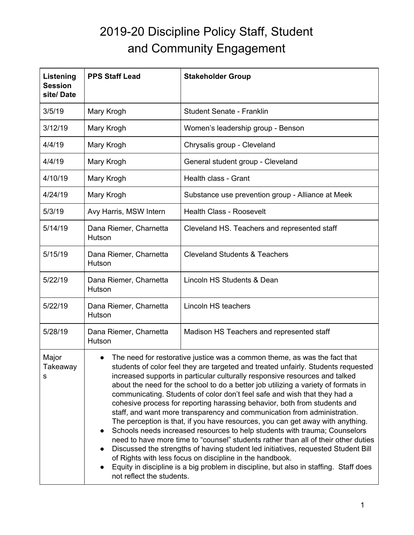## 2019-20 Discipline Policy Staff, Student and Community Engagement

| Listening<br><b>Session</b><br>site/Date | <b>PPS Staff Lead</b>                                                                                                                                                                                                                                                                                                                                                                                                                                                                                                                                                                                                                                                                                                                                                                                                                                                                                                                                                                                                                                                                                  | <b>Stakeholder Group</b>                          |
|------------------------------------------|--------------------------------------------------------------------------------------------------------------------------------------------------------------------------------------------------------------------------------------------------------------------------------------------------------------------------------------------------------------------------------------------------------------------------------------------------------------------------------------------------------------------------------------------------------------------------------------------------------------------------------------------------------------------------------------------------------------------------------------------------------------------------------------------------------------------------------------------------------------------------------------------------------------------------------------------------------------------------------------------------------------------------------------------------------------------------------------------------------|---------------------------------------------------|
| 3/5/19                                   | Mary Krogh                                                                                                                                                                                                                                                                                                                                                                                                                                                                                                                                                                                                                                                                                                                                                                                                                                                                                                                                                                                                                                                                                             | Student Senate - Franklin                         |
| 3/12/19                                  | Mary Krogh                                                                                                                                                                                                                                                                                                                                                                                                                                                                                                                                                                                                                                                                                                                                                                                                                                                                                                                                                                                                                                                                                             | Women's leadership group - Benson                 |
| 4/4/19                                   | Mary Krogh                                                                                                                                                                                                                                                                                                                                                                                                                                                                                                                                                                                                                                                                                                                                                                                                                                                                                                                                                                                                                                                                                             | Chrysalis group - Cleveland                       |
| 4/4/19                                   | Mary Krogh                                                                                                                                                                                                                                                                                                                                                                                                                                                                                                                                                                                                                                                                                                                                                                                                                                                                                                                                                                                                                                                                                             | General student group - Cleveland                 |
| 4/10/19                                  | Mary Krogh                                                                                                                                                                                                                                                                                                                                                                                                                                                                                                                                                                                                                                                                                                                                                                                                                                                                                                                                                                                                                                                                                             | Health class - Grant                              |
| 4/24/19                                  | Mary Krogh                                                                                                                                                                                                                                                                                                                                                                                                                                                                                                                                                                                                                                                                                                                                                                                                                                                                                                                                                                                                                                                                                             | Substance use prevention group - Alliance at Meek |
| 5/3/19                                   | Avy Harris, MSW Intern                                                                                                                                                                                                                                                                                                                                                                                                                                                                                                                                                                                                                                                                                                                                                                                                                                                                                                                                                                                                                                                                                 | <b>Health Class - Roosevelt</b>                   |
| 5/14/19                                  | Dana Riemer, Charnetta<br>Hutson                                                                                                                                                                                                                                                                                                                                                                                                                                                                                                                                                                                                                                                                                                                                                                                                                                                                                                                                                                                                                                                                       | Cleveland HS. Teachers and represented staff      |
| 5/15/19                                  | Dana Riemer, Charnetta<br>Hutson                                                                                                                                                                                                                                                                                                                                                                                                                                                                                                                                                                                                                                                                                                                                                                                                                                                                                                                                                                                                                                                                       | <b>Cleveland Students &amp; Teachers</b>          |
| 5/22/19                                  | Dana Riemer, Charnetta<br>Hutson                                                                                                                                                                                                                                                                                                                                                                                                                                                                                                                                                                                                                                                                                                                                                                                                                                                                                                                                                                                                                                                                       | Lincoln HS Students & Dean                        |
| 5/22/19                                  | Dana Riemer, Charnetta<br>Hutson                                                                                                                                                                                                                                                                                                                                                                                                                                                                                                                                                                                                                                                                                                                                                                                                                                                                                                                                                                                                                                                                       | Lincoln HS teachers                               |
| 5/28/19                                  | Dana Riemer, Charnetta<br>Hutson                                                                                                                                                                                                                                                                                                                                                                                                                                                                                                                                                                                                                                                                                                                                                                                                                                                                                                                                                                                                                                                                       | Madison HS Teachers and represented staff         |
| Major<br>Takeaway<br>s                   | The need for restorative justice was a common theme, as was the fact that<br>students of color feel they are targeted and treated unfairly. Students requested<br>increased supports in particular culturally responsive resources and talked<br>about the need for the school to do a better job utilizing a variety of formats in<br>communicating. Students of color don't feel safe and wish that they had a<br>cohesive process for reporting harassing behavior, both from students and<br>staff, and want more transparency and communication from administration.<br>The perception is that, if you have resources, you can get away with anything.<br>Schools needs increased resources to help students with trauma; Counselors<br>need to have more time to "counsel" students rather than all of their other duties<br>Discussed the strengths of having student led initiatives, requested Student Bill<br>of Rights with less focus on discipline in the handbook.<br>Equity in discipline is a big problem in discipline, but also in staffing. Staff does<br>not reflect the students. |                                                   |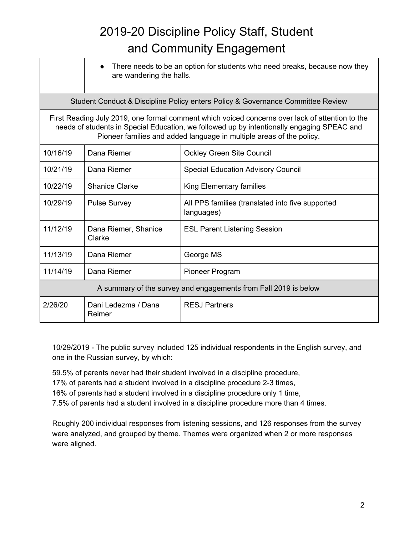## 2019-20 Discipline Policy Staff, Student and Community Engagement

|                                                                                                                                                                                                                                                                       | are wandering the halls.       | There needs to be an option for students who need breaks, because now they |  |
|-----------------------------------------------------------------------------------------------------------------------------------------------------------------------------------------------------------------------------------------------------------------------|--------------------------------|----------------------------------------------------------------------------|--|
| Student Conduct & Discipline Policy enters Policy & Governance Committee Review                                                                                                                                                                                       |                                |                                                                            |  |
| First Reading July 2019, one formal comment which voiced concerns over lack of attention to the<br>needs of students in Special Education, we followed up by intentionally engaging SPEAC and<br>Pioneer families and added language in multiple areas of the policy. |                                |                                                                            |  |
| 10/16/19                                                                                                                                                                                                                                                              | Dana Riemer                    | <b>Ockley Green Site Council</b>                                           |  |
| 10/21/19                                                                                                                                                                                                                                                              | Dana Riemer                    | <b>Special Education Advisory Council</b>                                  |  |
| 10/22/19                                                                                                                                                                                                                                                              | <b>Shanice Clarke</b>          | King Elementary families                                                   |  |
| 10/29/19                                                                                                                                                                                                                                                              | <b>Pulse Survey</b>            | All PPS families (translated into five supported<br>languages)             |  |
| 11/12/19                                                                                                                                                                                                                                                              | Dana Riemer, Shanice<br>Clarke | <b>ESL Parent Listening Session</b>                                        |  |
| 11/13/19                                                                                                                                                                                                                                                              | Dana Riemer                    | George MS                                                                  |  |
| 11/14/19                                                                                                                                                                                                                                                              | Dana Riemer                    | Pioneer Program                                                            |  |
| A summary of the survey and engagements from Fall 2019 is below                                                                                                                                                                                                       |                                |                                                                            |  |
| 2/26/20                                                                                                                                                                                                                                                               | Dani Ledezma / Dana<br>Reimer  | <b>RESJ Partners</b>                                                       |  |

10/29/2019 - The public survey included 125 individual respondents in the English survey, and one in the Russian survey, by which:

59.5% of parents never had their student involved in a discipline procedure,

17% of parents had a student involved in a discipline procedure 2-3 times,

16% of parents had a student involved in a discipline procedure only 1 time,

7.5% of parents had a student involved in a discipline procedure more than 4 times.

Roughly 200 individual responses from listening sessions, and 126 responses from the survey were analyzed, and grouped by theme. Themes were organized when 2 or more responses were aligned.